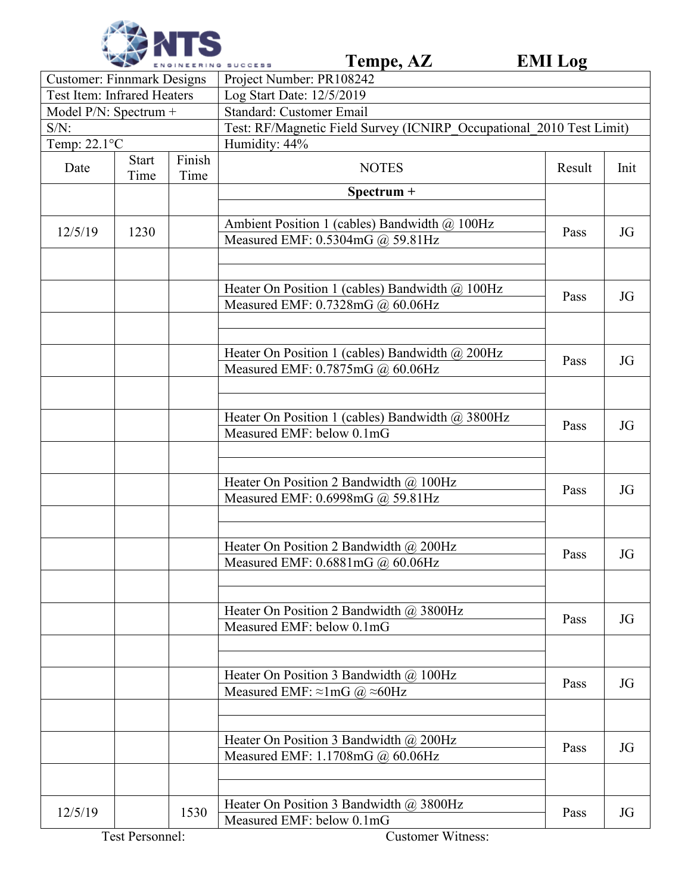

|                                    |                      |                | Tempe, AZ<br>ENGINEERING SUCCESS                                                  | <b>EMI</b> Log |      |  |  |
|------------------------------------|----------------------|----------------|-----------------------------------------------------------------------------------|----------------|------|--|--|
| <b>Customer: Finnmark Designs</b>  |                      |                | Project Number: PR108242                                                          |                |      |  |  |
| <b>Test Item: Infrared Heaters</b> |                      |                | Log Start Date: 12/5/2019                                                         |                |      |  |  |
| Model $P/N$ : Spectrum +           |                      |                | <b>Standard: Customer Email</b>                                                   |                |      |  |  |
| $S/N$ :                            |                      |                | Test: RF/Magnetic Field Survey (ICNIRP Occupational 2010 Test Limit)              |                |      |  |  |
| Temp: $22.1^{\circ}$ C             |                      |                | Humidity: 44%                                                                     |                |      |  |  |
| Date                               | <b>Start</b><br>Time | Finish<br>Time | <b>NOTES</b>                                                                      | Result         | Init |  |  |
|                                    |                      |                | Spectrum +                                                                        |                |      |  |  |
|                                    |                      |                |                                                                                   |                |      |  |  |
| 12/5/19                            | 1230                 |                | Ambient Position 1 (cables) Bandwidth @ 100Hz<br>Measured EMF: 0.5304mG @ 59.81Hz | Pass           | JG   |  |  |
|                                    |                      |                |                                                                                   |                |      |  |  |
|                                    |                      |                | Heater On Position 1 (cables) Bandwidth @ 100Hz                                   | Pass           |      |  |  |
|                                    |                      |                | Measured EMF: 0.7328mG @ 60.06Hz                                                  |                | JG   |  |  |
|                                    |                      |                | Heater On Position 1 (cables) Bandwidth @ 200Hz                                   |                |      |  |  |
|                                    |                      |                | Measured EMF: 0.7875mG @ 60.06Hz                                                  | Pass           | JG   |  |  |
|                                    |                      |                |                                                                                   |                |      |  |  |
|                                    |                      |                | Heater On Position 1 (cables) Bandwidth @ 3800Hz<br>Measured EMF: below 0.1mG     | Pass           | JG   |  |  |
|                                    |                      |                |                                                                                   |                |      |  |  |
|                                    |                      |                | Heater On Position 2 Bandwidth @ 100Hz<br>Measured EMF: 0.6998mG @ 59.81Hz        | Pass           | JG   |  |  |
|                                    |                      |                |                                                                                   |                |      |  |  |
|                                    |                      |                | Heater On Position 2 Bandwidth $\omega$ 200Hz                                     | Pass           | JG   |  |  |
|                                    |                      |                | Measured EMF: 0.6881mG @ 60.06Hz                                                  |                |      |  |  |
|                                    |                      |                | Heater On Position 2 Bandwidth $\omega$ 3800Hz                                    | Pass           |      |  |  |
|                                    |                      |                | Measured EMF: below 0.1mG                                                         |                | JG   |  |  |
|                                    |                      |                | Heater On Position 3 Bandwidth $\omega$ 100Hz                                     |                |      |  |  |
|                                    |                      |                | Measured EMF: $\approx$ 1mG @ $\approx$ 60Hz                                      | Pass           | JG   |  |  |
|                                    |                      |                |                                                                                   |                |      |  |  |
|                                    |                      |                | Heater On Position 3 Bandwidth $\omega$ 200Hz<br>Measured EMF: 1.1708mG @ 60.06Hz | Pass           | JG   |  |  |
|                                    |                      |                |                                                                                   |                |      |  |  |
| 12/5/19                            |                      | 1530           | Heater On Position 3 Bandwidth @ 3800Hz<br>Measured EMF: below 0.1mG              | Pass           | JG   |  |  |
|                                    | Test Personnel:      |                | <b>Customer Witness:</b>                                                          |                |      |  |  |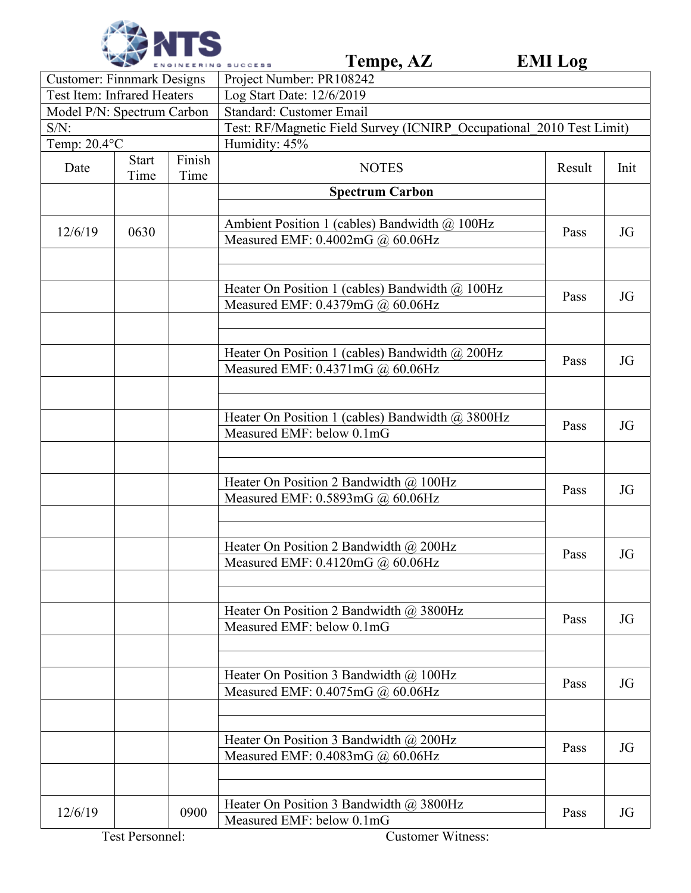

|                                    |                      |                | Tempe, AZ<br>ENGINEERING SUCCESS                                                    | <b>EMI</b> Log |      |  |
|------------------------------------|----------------------|----------------|-------------------------------------------------------------------------------------|----------------|------|--|
| <b>Customer: Finnmark Designs</b>  |                      |                | Project Number: PR108242                                                            |                |      |  |
| <b>Test Item: Infrared Heaters</b> |                      |                | Log Start Date: 12/6/2019                                                           |                |      |  |
| Model P/N: Spectrum Carbon         |                      |                | <b>Standard: Customer Email</b>                                                     |                |      |  |
| $S/N$ :                            |                      |                | Test: RF/Magnetic Field Survey (ICNIRP Occupational 2010 Test Limit)                |                |      |  |
| Temp: $20.4$ °C                    |                      |                | Humidity: 45%                                                                       |                |      |  |
| Date                               | <b>Start</b><br>Time | Finish<br>Time | <b>NOTES</b>                                                                        | Result         | Init |  |
|                                    |                      |                | <b>Spectrum Carbon</b>                                                              |                |      |  |
|                                    |                      |                |                                                                                     |                |      |  |
| 12/6/19                            | 0630                 |                | Ambient Position 1 (cables) Bandwidth @ 100Hz<br>Measured EMF: 0.4002mG @ 60.06Hz   | Pass           | JG   |  |
|                                    |                      |                |                                                                                     |                |      |  |
|                                    |                      |                | Heater On Position 1 (cables) Bandwidth @ 100Hz<br>Measured EMF: 0.4379mG @ 60.06Hz | Pass           | JG   |  |
|                                    |                      |                |                                                                                     |                |      |  |
|                                    |                      |                | Heater On Position 1 (cables) Bandwidth @ 200Hz<br>Measured EMF: 0.4371mG @ 60.06Hz | Pass           | JG   |  |
|                                    |                      |                |                                                                                     |                |      |  |
|                                    |                      |                | Heater On Position 1 (cables) Bandwidth @ 3800Hz<br>Measured EMF: below 0.1mG       | Pass           | JG   |  |
|                                    |                      |                |                                                                                     |                |      |  |
|                                    |                      |                | Heater On Position 2 Bandwidth @ 100Hz<br>Measured EMF: 0.5893mG @ 60.06Hz          | Pass           | JG   |  |
|                                    |                      |                |                                                                                     |                |      |  |
|                                    |                      |                | Heater On Position 2 Bandwidth @ 200Hz<br>Measured EMF: 0.4120mG @ 60.06Hz          | Pass           | JG   |  |
|                                    |                      |                |                                                                                     |                |      |  |
|                                    |                      |                | Heater On Position 2 Bandwidth @ 3800Hz<br>Measured EMF: below 0.1mG                | Pass           |      |  |
|                                    |                      |                |                                                                                     |                |      |  |
|                                    |                      |                | Heater On Position 3 Bandwidth $\omega$ 100Hz                                       | Pass           | JG   |  |
|                                    |                      |                | Measured EMF: 0.4075mG @ 60.06Hz                                                    |                |      |  |
|                                    |                      |                | Heater On Position 3 Bandwidth $\omega$ 200Hz                                       | Pass           | JG   |  |
|                                    |                      |                | Measured EMF: 0.4083mG @ 60.06Hz                                                    |                |      |  |
| 12/6/19                            |                      | 0900           | Heater On Position 3 Bandwidth $\omega$ 3800Hz                                      | Pass           | JG   |  |
|                                    |                      |                | Measured EMF: below 0.1mG                                                           |                |      |  |
|                                    | Test Personnel:      |                | <b>Customer Witness:</b>                                                            |                |      |  |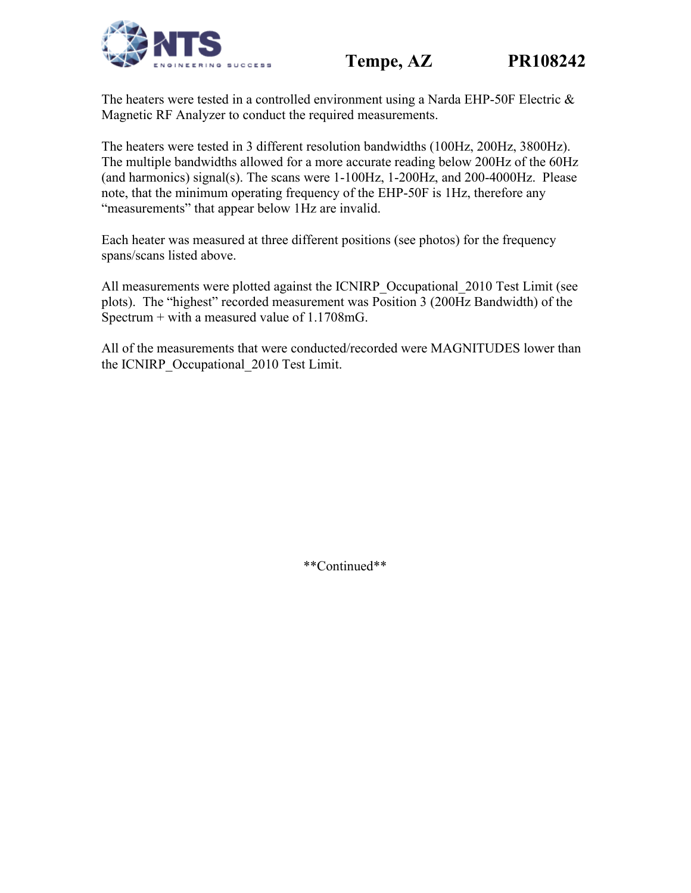## **Tempe, AZ PR108242**





The heaters were tested in a controlled environment using a Narda EHP-50F Electric & Magnetic RF Analyzer to conduct the required measurements.

The heaters were tested in 3 different resolution bandwidths (100Hz, 200Hz, 3800Hz). The multiple bandwidths allowed for a more accurate reading below 200Hz of the 60Hz (and harmonics) signal(s). The scans were 1-100Hz, 1-200Hz, and 200-4000Hz. Please note, that the minimum operating frequency of the EHP-50F is 1Hz, therefore any "measurements" that appear below 1Hz are invalid.

Each heater was measured at three different positions (see photos) for the frequency spans/scans listed above.

All measurements were plotted against the ICNIRP\_Occupational\_2010 Test Limit (see plots). The "highest" recorded measurement was Position 3 (200Hz Bandwidth) of the Spectrum  $+$  with a measured value of 1.1708mG.

All of the measurements that were conducted/recorded were MAGNITUDES lower than the ICNIRP Occupational 2010 Test Limit.

\*\*Continued\*\*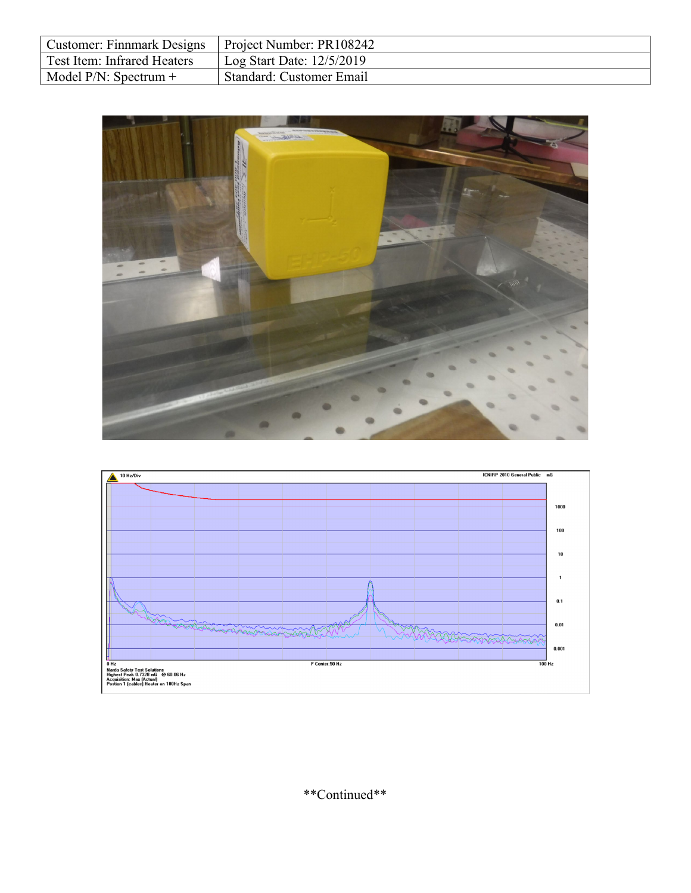| Customer: Finnmark Designs   Project Number: PR108242 |                             |
|-------------------------------------------------------|-----------------------------|
| Test Item: Infrared Heaters                           | Log Start Date: $12/5/2019$ |
| Model $P/N$ : Spectrum +                              | Standard: Customer Email    |





\*\*Continued\*\*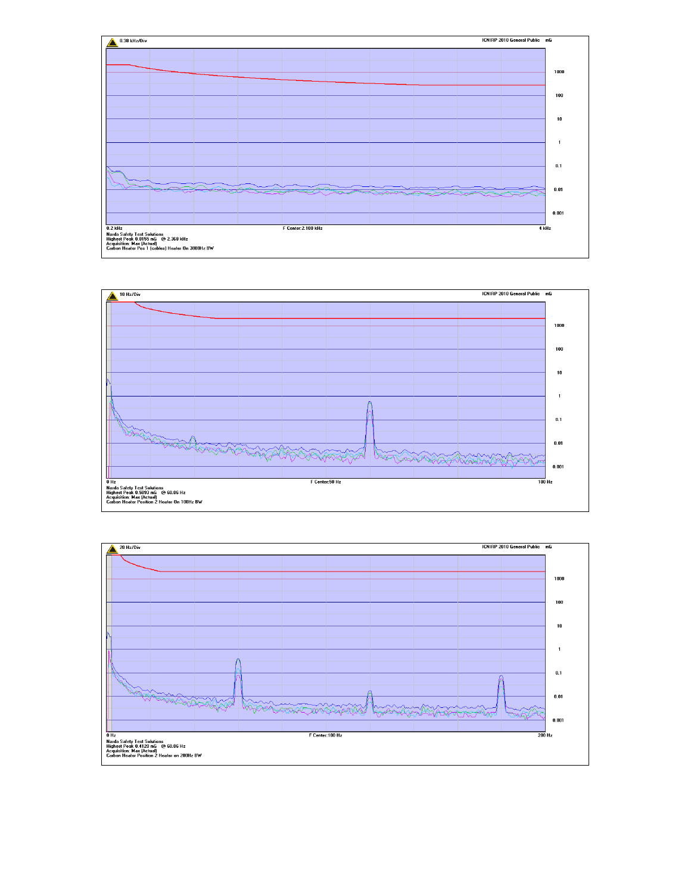



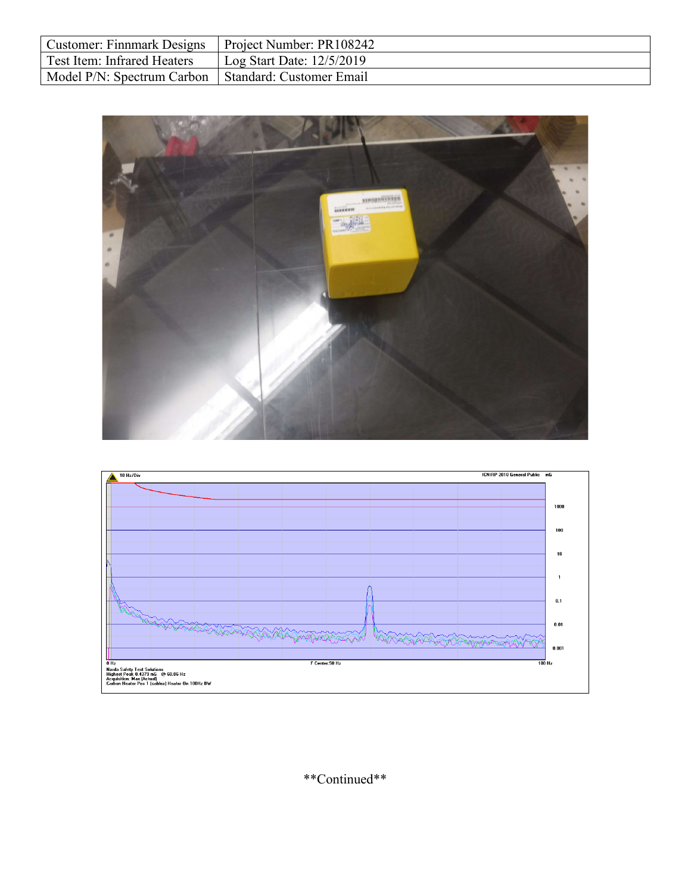| Customer: Finnmark Designs   Project Number: PR108242 |                                     |
|-------------------------------------------------------|-------------------------------------|
| Test Item: Infrared Heaters                           | $\vert$ Log Start Date: $12/5/2019$ |
| Model P/N: Spectrum Carbon   Standard: Customer Email |                                     |





\*\*Continued\*\*